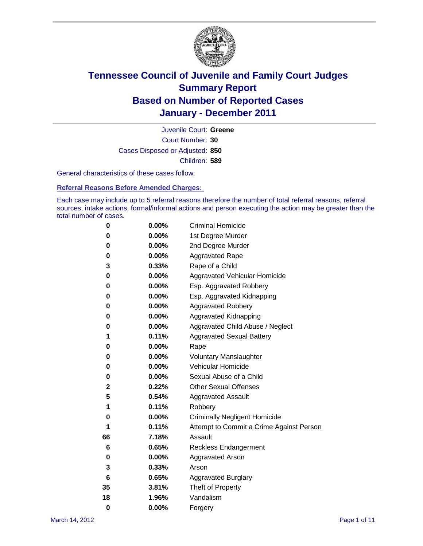

Court Number: **30** Juvenile Court: **Greene** Cases Disposed or Adjusted: **850** Children: **589**

General characteristics of these cases follow:

**Referral Reasons Before Amended Charges:** 

Each case may include up to 5 referral reasons therefore the number of total referral reasons, referral sources, intake actions, formal/informal actions and person executing the action may be greater than the total number of cases.

| 0  | 0.00%    | <b>Criminal Homicide</b>                 |  |  |
|----|----------|------------------------------------------|--|--|
| 0  | 0.00%    | 1st Degree Murder                        |  |  |
| 0  | 0.00%    | 2nd Degree Murder                        |  |  |
| 0  | 0.00%    | <b>Aggravated Rape</b>                   |  |  |
| 3  | 0.33%    | Rape of a Child                          |  |  |
| 0  | 0.00%    | Aggravated Vehicular Homicide            |  |  |
| 0  | 0.00%    | Esp. Aggravated Robbery                  |  |  |
| 0  | 0.00%    | Esp. Aggravated Kidnapping               |  |  |
| 0  | 0.00%    | <b>Aggravated Robbery</b>                |  |  |
| 0  | 0.00%    | Aggravated Kidnapping                    |  |  |
| 0  | 0.00%    | Aggravated Child Abuse / Neglect         |  |  |
| 1  | 0.11%    | <b>Aggravated Sexual Battery</b>         |  |  |
| 0  | 0.00%    | Rape                                     |  |  |
| 0  | $0.00\%$ | <b>Voluntary Manslaughter</b>            |  |  |
| 0  | 0.00%    | Vehicular Homicide                       |  |  |
| 0  | 0.00%    | Sexual Abuse of a Child                  |  |  |
| 2  | 0.22%    | <b>Other Sexual Offenses</b>             |  |  |
| 5  | 0.54%    | <b>Aggravated Assault</b>                |  |  |
| 1  | 0.11%    | Robbery                                  |  |  |
| 0  | 0.00%    | <b>Criminally Negligent Homicide</b>     |  |  |
| 1  | 0.11%    | Attempt to Commit a Crime Against Person |  |  |
| 66 | 7.18%    | Assault                                  |  |  |
| 6  | 0.65%    | <b>Reckless Endangerment</b>             |  |  |
| 0  | 0.00%    | <b>Aggravated Arson</b>                  |  |  |
| 3  | 0.33%    | Arson                                    |  |  |
| 6  | 0.65%    | <b>Aggravated Burglary</b>               |  |  |
| 35 | 3.81%    | Theft of Property                        |  |  |
| 18 | 1.96%    | Vandalism                                |  |  |
| 0  | 0.00%    | Forgery                                  |  |  |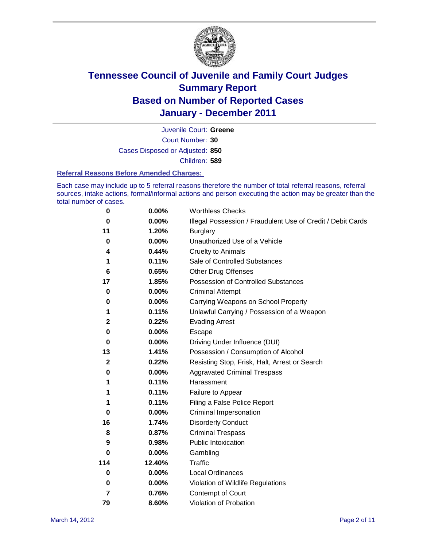

Court Number: **30** Juvenile Court: **Greene** Cases Disposed or Adjusted: **850** Children: **589**

#### **Referral Reasons Before Amended Charges:**

Each case may include up to 5 referral reasons therefore the number of total referral reasons, referral sources, intake actions, formal/informal actions and person executing the action may be greater than the total number of cases.

| $\bf{0}$    | 0.00%    | <b>Worthless Checks</b>                                     |
|-------------|----------|-------------------------------------------------------------|
| 0           | 0.00%    | Illegal Possession / Fraudulent Use of Credit / Debit Cards |
| 11          | 1.20%    | <b>Burglary</b>                                             |
| $\bf{0}$    | $0.00\%$ | Unauthorized Use of a Vehicle                               |
| 4           | 0.44%    | <b>Cruelty to Animals</b>                                   |
| 1           | 0.11%    | Sale of Controlled Substances                               |
| 6           | 0.65%    | <b>Other Drug Offenses</b>                                  |
| 17          | 1.85%    | Possession of Controlled Substances                         |
| $\mathbf 0$ | $0.00\%$ | <b>Criminal Attempt</b>                                     |
| 0           | 0.00%    | Carrying Weapons on School Property                         |
| 1           | 0.11%    | Unlawful Carrying / Possession of a Weapon                  |
| 2           | 0.22%    | <b>Evading Arrest</b>                                       |
| 0           | 0.00%    | Escape                                                      |
| 0           | $0.00\%$ | Driving Under Influence (DUI)                               |
| 13          | 1.41%    | Possession / Consumption of Alcohol                         |
| $\mathbf 2$ | 0.22%    | Resisting Stop, Frisk, Halt, Arrest or Search               |
| 0           | $0.00\%$ | <b>Aggravated Criminal Trespass</b>                         |
| 1           | 0.11%    | Harassment                                                  |
| 1           | 0.11%    | Failure to Appear                                           |
| 1           | 0.11%    | Filing a False Police Report                                |
| $\bf{0}$    | 0.00%    | Criminal Impersonation                                      |
| 16          | 1.74%    | <b>Disorderly Conduct</b>                                   |
| 8           | 0.87%    | <b>Criminal Trespass</b>                                    |
| 9           | 0.98%    | Public Intoxication                                         |
| 0           | $0.00\%$ | Gambling                                                    |
| 114         | 12.40%   | Traffic                                                     |
| 0           | $0.00\%$ | Local Ordinances                                            |
| 0           | 0.00%    | Violation of Wildlife Regulations                           |
| 7           | 0.76%    | Contempt of Court                                           |
| 79          | 8.60%    | Violation of Probation                                      |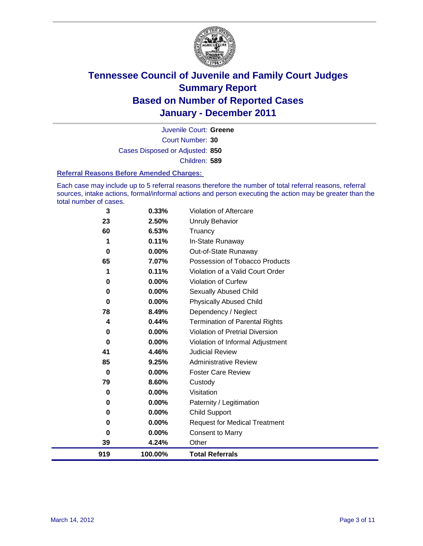

Court Number: **30** Juvenile Court: **Greene** Cases Disposed or Adjusted: **850** Children: **589**

#### **Referral Reasons Before Amended Charges:**

Each case may include up to 5 referral reasons therefore the number of total referral reasons, referral sources, intake actions, formal/informal actions and person executing the action may be greater than the total number of cases.

| 3        | 0.33%    | Violation of Aftercare                 |
|----------|----------|----------------------------------------|
| 23       | 2.50%    | <b>Unruly Behavior</b>                 |
| 60       | 6.53%    | Truancy                                |
| 1        | 0.11%    | In-State Runaway                       |
| $\bf{0}$ | $0.00\%$ | Out-of-State Runaway                   |
| 65       | 7.07%    | Possession of Tobacco Products         |
| 1        | 0.11%    | Violation of a Valid Court Order       |
| 0        | 0.00%    | <b>Violation of Curfew</b>             |
| 0        | $0.00\%$ | Sexually Abused Child                  |
| $\bf{0}$ | 0.00%    | <b>Physically Abused Child</b>         |
| 78       | 8.49%    | Dependency / Neglect                   |
| 4        | 0.44%    | <b>Termination of Parental Rights</b>  |
| 0        | 0.00%    | <b>Violation of Pretrial Diversion</b> |
| 0        | 0.00%    | Violation of Informal Adjustment       |
| 41       | 4.46%    | <b>Judicial Review</b>                 |
| 85       | 9.25%    | <b>Administrative Review</b>           |
| $\bf{0}$ | 0.00%    | <b>Foster Care Review</b>              |
| 79       | 8.60%    | Custody                                |
| 0        | 0.00%    | Visitation                             |
| 0        | 0.00%    | Paternity / Legitimation               |
| 0        | 0.00%    | Child Support                          |
| 0        | 0.00%    | <b>Request for Medical Treatment</b>   |
| 0        | 0.00%    | <b>Consent to Marry</b>                |
| 39       | 4.24%    | Other                                  |
| 919      | 100.00%  | <b>Total Referrals</b>                 |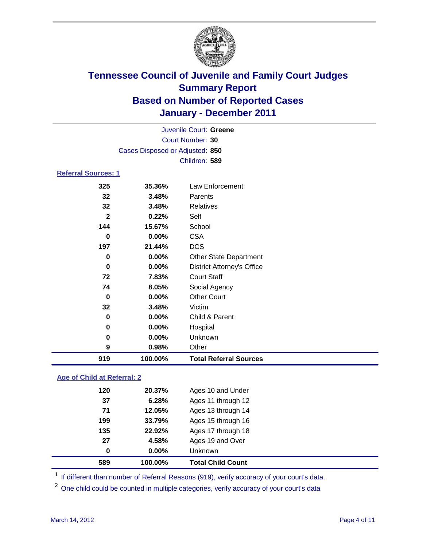

|                            | Juvenile Court: Greene          |                                   |  |
|----------------------------|---------------------------------|-----------------------------------|--|
|                            |                                 | Court Number: 30                  |  |
|                            | Cases Disposed or Adjusted: 850 |                                   |  |
|                            |                                 | Children: 589                     |  |
| <b>Referral Sources: 1</b> |                                 |                                   |  |
| 325                        | 35.36%                          | Law Enforcement                   |  |
| 32                         | 3.48%                           | Parents                           |  |
| 32                         | 3.48%                           | <b>Relatives</b>                  |  |
| $\overline{2}$             | 0.22%                           | Self                              |  |
| 144                        | 15.67%                          | School                            |  |
| $\bf{0}$                   | 0.00%                           | <b>CSA</b>                        |  |
| 197                        | 21.44%                          | <b>DCS</b>                        |  |
| 0                          | 0.00%                           | <b>Other State Department</b>     |  |
| $\mathbf 0$                | $0.00\%$                        | <b>District Attorney's Office</b> |  |
| 72                         | 7.83%                           | <b>Court Staff</b>                |  |
| 74                         | 8.05%                           | Social Agency                     |  |
| $\bf{0}$                   | $0.00\%$                        | <b>Other Court</b>                |  |
| 32                         | 3.48%                           | Victim                            |  |
| $\bf{0}$                   | 0.00%                           | Child & Parent                    |  |
| 0                          | 0.00%                           | Hospital                          |  |
| $\bf{0}$                   | $0.00\%$                        | Unknown                           |  |
| 9                          | 0.98%                           | Other                             |  |
| 919                        | 100.00%                         | <b>Total Referral Sources</b>     |  |

### **Age of Child at Referral: 2**

| 589 | 100.00% | <b>Total Child Count</b> |
|-----|---------|--------------------------|
| 0   | 0.00%   | <b>Unknown</b>           |
| 27  | 4.58%   | Ages 19 and Over         |
| 135 | 22.92%  | Ages 17 through 18       |
| 199 | 33.79%  | Ages 15 through 16       |
| 71  | 12.05%  | Ages 13 through 14       |
| 37  | 6.28%   | Ages 11 through 12       |
| 120 | 20.37%  | Ages 10 and Under        |
|     |         |                          |

<sup>1</sup> If different than number of Referral Reasons (919), verify accuracy of your court's data.

<sup>2</sup> One child could be counted in multiple categories, verify accuracy of your court's data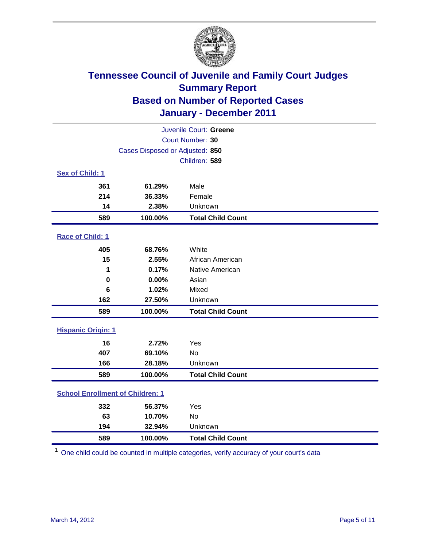

|                                         | Juvenile Court: Greene          |                          |  |  |
|-----------------------------------------|---------------------------------|--------------------------|--|--|
| Court Number: 30                        |                                 |                          |  |  |
|                                         | Cases Disposed or Adjusted: 850 |                          |  |  |
|                                         |                                 | Children: 589            |  |  |
| Sex of Child: 1                         |                                 |                          |  |  |
| 361                                     | 61.29%                          | Male                     |  |  |
| 214                                     | 36.33%                          | Female                   |  |  |
| 14                                      | 2.38%                           | Unknown                  |  |  |
| 589                                     | 100.00%                         | <b>Total Child Count</b> |  |  |
| Race of Child: 1                        |                                 |                          |  |  |
| 405                                     | 68.76%                          | White                    |  |  |
| 15                                      | 2.55%                           | African American         |  |  |
| 1                                       | 0.17%                           | Native American          |  |  |
| $\mathbf 0$                             | 0.00%                           | Asian                    |  |  |
| 6                                       | 1.02%                           | Mixed                    |  |  |
| 162                                     | 27.50%                          | Unknown                  |  |  |
| 589                                     | 100.00%                         | <b>Total Child Count</b> |  |  |
| <b>Hispanic Origin: 1</b>               |                                 |                          |  |  |
| 16                                      | 2.72%                           | Yes                      |  |  |
| 407                                     | 69.10%                          | No                       |  |  |
| 166                                     | 28.18%                          | Unknown                  |  |  |
| 589                                     | 100.00%                         | <b>Total Child Count</b> |  |  |
| <b>School Enrollment of Children: 1</b> |                                 |                          |  |  |
| 332                                     | 56.37%                          | Yes                      |  |  |
| 63                                      | 10.70%                          | <b>No</b>                |  |  |
| 194                                     | 32.94%                          | Unknown                  |  |  |
| 589                                     | 100.00%                         | <b>Total Child Count</b> |  |  |

One child could be counted in multiple categories, verify accuracy of your court's data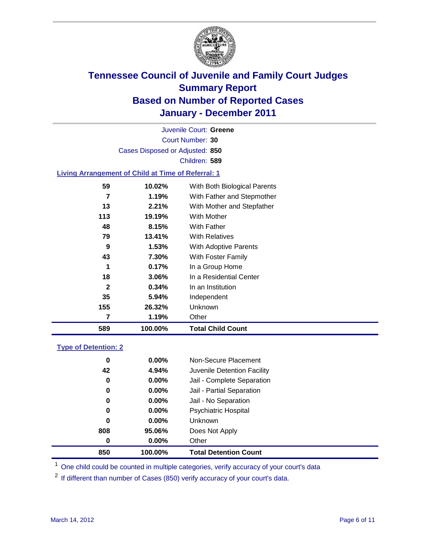

Court Number: **30** Juvenile Court: **Greene** Cases Disposed or Adjusted: **850** Children: **589**

### **Living Arrangement of Child at Time of Referral: 1**

| 589 | 100.00% | <b>Total Child Count</b>     |
|-----|---------|------------------------------|
| 7   | 1.19%   | Other                        |
| 155 | 26.32%  | Unknown                      |
| 35  | 5.94%   | Independent                  |
| 2   | 0.34%   | In an Institution            |
| 18  | 3.06%   | In a Residential Center      |
| 1   | 0.17%   | In a Group Home              |
| 43  | 7.30%   | With Foster Family           |
| 9   | 1.53%   | With Adoptive Parents        |
| 79  | 13.41%  | <b>With Relatives</b>        |
| 48  | 8.15%   | With Father                  |
| 113 | 19.19%  | <b>With Mother</b>           |
| 13  | 2.21%   | With Mother and Stepfather   |
| 7   | 1.19%   | With Father and Stepmother   |
| 59  | 10.02%  | With Both Biological Parents |

#### **Type of Detention: 2**

| 850      | 100.00%  | <b>Total Detention Count</b> |  |
|----------|----------|------------------------------|--|
| $\bf{0}$ | 0.00%    | Other                        |  |
| 808      | 95.06%   | Does Not Apply               |  |
| $\bf{0}$ | 0.00%    | Unknown                      |  |
| 0        | $0.00\%$ | Psychiatric Hospital         |  |
| 0        | 0.00%    | Jail - No Separation         |  |
| 0        | $0.00\%$ | Jail - Partial Separation    |  |
| 0        | $0.00\%$ | Jail - Complete Separation   |  |
| 42       | 4.94%    | Juvenile Detention Facility  |  |
| 0        | $0.00\%$ | Non-Secure Placement         |  |
|          |          |                              |  |

<sup>1</sup> One child could be counted in multiple categories, verify accuracy of your court's data

<sup>2</sup> If different than number of Cases (850) verify accuracy of your court's data.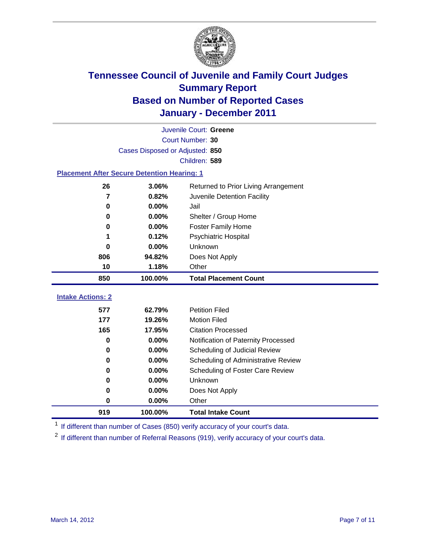

|                                                    | Juvenile Court: Greene          |                                      |  |  |  |
|----------------------------------------------------|---------------------------------|--------------------------------------|--|--|--|
|                                                    | Court Number: 30                |                                      |  |  |  |
|                                                    | Cases Disposed or Adjusted: 850 |                                      |  |  |  |
|                                                    |                                 | Children: 589                        |  |  |  |
| <b>Placement After Secure Detention Hearing: 1</b> |                                 |                                      |  |  |  |
| 26                                                 | 3.06%                           | Returned to Prior Living Arrangement |  |  |  |
| $\overline{7}$                                     | 0.82%                           | Juvenile Detention Facility          |  |  |  |
| $\bf{0}$                                           | 0.00%                           | Jail                                 |  |  |  |
| $\bf{0}$                                           | 0.00%                           | Shelter / Group Home                 |  |  |  |
| 0                                                  | 0.00%                           | <b>Foster Family Home</b>            |  |  |  |
| 1                                                  | 0.12%                           | Psychiatric Hospital                 |  |  |  |
| 0                                                  | 0.00%                           | Unknown                              |  |  |  |
| 806                                                | 94.82%                          | Does Not Apply                       |  |  |  |
| 10                                                 | 1.18%                           | Other                                |  |  |  |
| 850                                                | 100.00%                         | <b>Total Placement Count</b>         |  |  |  |
|                                                    |                                 |                                      |  |  |  |
| <b>Intake Actions: 2</b>                           |                                 |                                      |  |  |  |
| 577                                                | 62.79%                          | <b>Petition Filed</b>                |  |  |  |
| 177                                                | 19.26%                          | <b>Motion Filed</b>                  |  |  |  |
| 165                                                | 17.95%                          | <b>Citation Processed</b>            |  |  |  |
| 0                                                  | 0.00%                           | Notification of Paternity Processed  |  |  |  |
| 0                                                  | 0.00%                           | Scheduling of Judicial Review        |  |  |  |
| 0                                                  | 0.00%                           | Scheduling of Administrative Review  |  |  |  |
| 0                                                  | 0.00%                           | Scheduling of Foster Care Review     |  |  |  |
| $\bf{0}$                                           | 0.00%                           | Unknown                              |  |  |  |
| 0                                                  | 0.00%                           | Does Not Apply                       |  |  |  |
| 0                                                  | 0.00%                           | Other                                |  |  |  |
| 919                                                | 100.00%                         | <b>Total Intake Count</b>            |  |  |  |

<sup>1</sup> If different than number of Cases (850) verify accuracy of your court's data.

<sup>2</sup> If different than number of Referral Reasons (919), verify accuracy of your court's data.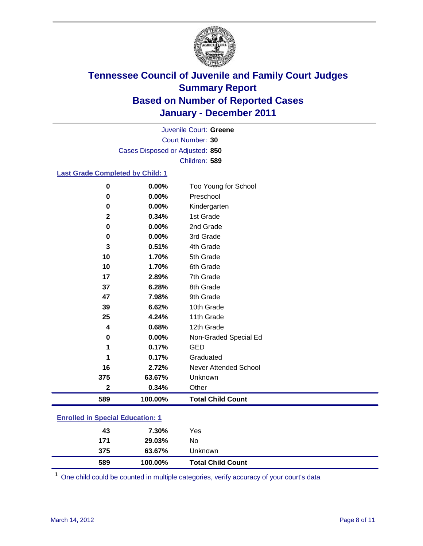

Court Number: **30** Juvenile Court: **Greene** Cases Disposed or Adjusted: **850** Children: **589**

### **Last Grade Completed by Child: 1**

| 589            | 100.00% | <b>Total Child Count</b> |  |
|----------------|---------|--------------------------|--|
| $\overline{2}$ | 0.34%   | Other                    |  |
| 375            | 63.67%  | Unknown                  |  |
| 16             | 2.72%   | Never Attended School    |  |
| 1              | 0.17%   | Graduated                |  |
| 1              | 0.17%   | <b>GED</b>               |  |
| 0              | 0.00%   | Non-Graded Special Ed    |  |
| 4              | 0.68%   | 12th Grade               |  |
| 25             | 4.24%   | 11th Grade               |  |
| 39             | 6.62%   | 10th Grade               |  |
| 47             | 7.98%   | 9th Grade                |  |
| 37             | 6.28%   | 8th Grade                |  |
| 17             | 2.89%   | 7th Grade                |  |
| 10             | 1.70%   | 6th Grade                |  |
| 10             | 1.70%   | 5th Grade                |  |
| 3              | 0.51%   | 4th Grade                |  |
| 0              | 0.00%   | 3rd Grade                |  |
| 0              | 0.00%   | 2nd Grade                |  |
| $\mathbf{2}$   | 0.34%   | 1st Grade                |  |
| 0              | 0.00%   | Kindergarten             |  |
| $\bf{0}$       | 0.00%   | Preschool                |  |
| $\bf{0}$       | 0.00%   | Too Young for School     |  |

### **Enrolled in Special Education: 1**

| 375<br>63.67%<br>Unknown |  |
|--------------------------|--|
| 29.03%<br>171<br>No      |  |
| 7.30%<br>Yes<br>43       |  |

One child could be counted in multiple categories, verify accuracy of your court's data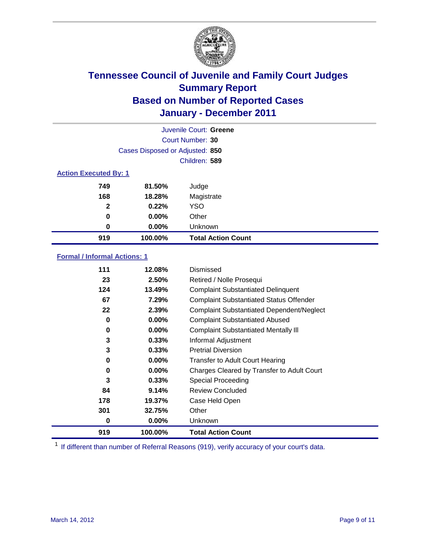

|                              | Juvenile Court: Greene          |                           |  |  |
|------------------------------|---------------------------------|---------------------------|--|--|
|                              |                                 | Court Number: 30          |  |  |
|                              | Cases Disposed or Adjusted: 850 |                           |  |  |
|                              |                                 | Children: 589             |  |  |
| <b>Action Executed By: 1</b> |                                 |                           |  |  |
| 749                          | 81.50%                          | Judge                     |  |  |
| 168                          | 18.28%                          | Magistrate                |  |  |
| $\mathbf{2}$                 | 0.22%                           | <b>YSO</b>                |  |  |
| 0                            | 0.00%                           | Other                     |  |  |
| 0                            | 0.00%                           | Unknown                   |  |  |
| 919                          | 100.00%                         | <b>Total Action Count</b> |  |  |

### **Formal / Informal Actions: 1**

| 111 | 12.08%   | Dismissed                                        |
|-----|----------|--------------------------------------------------|
| 23  | 2.50%    | Retired / Nolle Prosequi                         |
| 124 | 13.49%   | <b>Complaint Substantiated Delinquent</b>        |
| 67  | 7.29%    | <b>Complaint Substantiated Status Offender</b>   |
| 22  | 2.39%    | <b>Complaint Substantiated Dependent/Neglect</b> |
| 0   | $0.00\%$ | <b>Complaint Substantiated Abused</b>            |
| 0   | $0.00\%$ | <b>Complaint Substantiated Mentally III</b>      |
| 3   | 0.33%    | Informal Adjustment                              |
| 3   | 0.33%    | <b>Pretrial Diversion</b>                        |
| 0   | $0.00\%$ | <b>Transfer to Adult Court Hearing</b>           |
| 0   | $0.00\%$ | Charges Cleared by Transfer to Adult Court       |
| 3   | 0.33%    | <b>Special Proceeding</b>                        |
| 84  | 9.14%    | <b>Review Concluded</b>                          |
| 178 | 19.37%   | Case Held Open                                   |
| 301 | 32.75%   | Other                                            |
| 0   | $0.00\%$ | Unknown                                          |
| 919 | 100.00%  | <b>Total Action Count</b>                        |

<sup>1</sup> If different than number of Referral Reasons (919), verify accuracy of your court's data.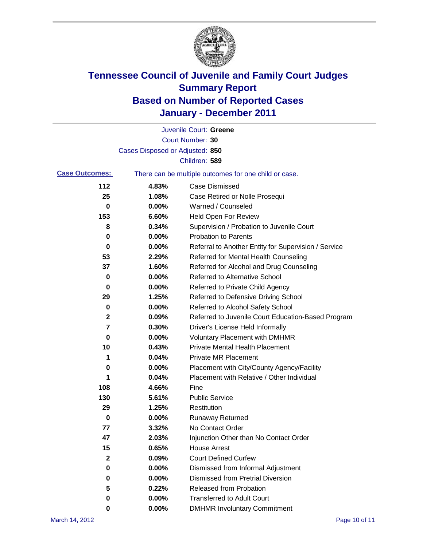

|                       |                                 | Juvenile Court: Greene                                |
|-----------------------|---------------------------------|-------------------------------------------------------|
|                       |                                 | Court Number: 30                                      |
|                       | Cases Disposed or Adjusted: 850 |                                                       |
|                       |                                 | Children: 589                                         |
| <b>Case Outcomes:</b> |                                 | There can be multiple outcomes for one child or case. |
| 112                   | 4.83%                           | <b>Case Dismissed</b>                                 |
| 25                    | 1.08%                           | Case Retired or Nolle Prosequi                        |
| 0                     | 0.00%                           | Warned / Counseled                                    |
| 153                   | 6.60%                           | Held Open For Review                                  |
| 8                     | 0.34%                           | Supervision / Probation to Juvenile Court             |
| 0                     | 0.00%                           | <b>Probation to Parents</b>                           |
| 0                     | 0.00%                           | Referral to Another Entity for Supervision / Service  |
| 53                    | 2.29%                           | Referred for Mental Health Counseling                 |
| 37                    | 1.60%                           | Referred for Alcohol and Drug Counseling              |
| 0                     | 0.00%                           | <b>Referred to Alternative School</b>                 |
| 0                     | 0.00%                           | Referred to Private Child Agency                      |
| 29                    | 1.25%                           | Referred to Defensive Driving School                  |
| 0                     | 0.00%                           | Referred to Alcohol Safety School                     |
| 2                     | 0.09%                           | Referred to Juvenile Court Education-Based Program    |
| 7                     | 0.30%                           | Driver's License Held Informally                      |
| 0                     | 0.00%                           | <b>Voluntary Placement with DMHMR</b>                 |
| 10                    | 0.43%                           | <b>Private Mental Health Placement</b>                |
| 1                     | 0.04%                           | <b>Private MR Placement</b>                           |
| 0                     | 0.00%                           | Placement with City/County Agency/Facility            |
| 1                     | 0.04%                           | Placement with Relative / Other Individual            |
| 108                   | 4.66%                           | Fine                                                  |
| 130                   | 5.61%                           | <b>Public Service</b>                                 |
| 29                    | 1.25%                           | Restitution                                           |
| 0                     | 0.00%                           | <b>Runaway Returned</b>                               |
| 77                    | 3.32%                           | No Contact Order                                      |
| 47                    | 2.03%                           | Injunction Other than No Contact Order                |
| 15                    | 0.65%                           | <b>House Arrest</b>                                   |
| 2                     | 0.09%                           | <b>Court Defined Curfew</b>                           |
| 0                     | 0.00%                           | Dismissed from Informal Adjustment                    |
| 0                     | 0.00%                           | <b>Dismissed from Pretrial Diversion</b>              |
| 5                     | 0.22%                           | Released from Probation                               |
| 0                     | 0.00%                           | <b>Transferred to Adult Court</b>                     |
| 0                     | $0.00\%$                        | <b>DMHMR Involuntary Commitment</b>                   |